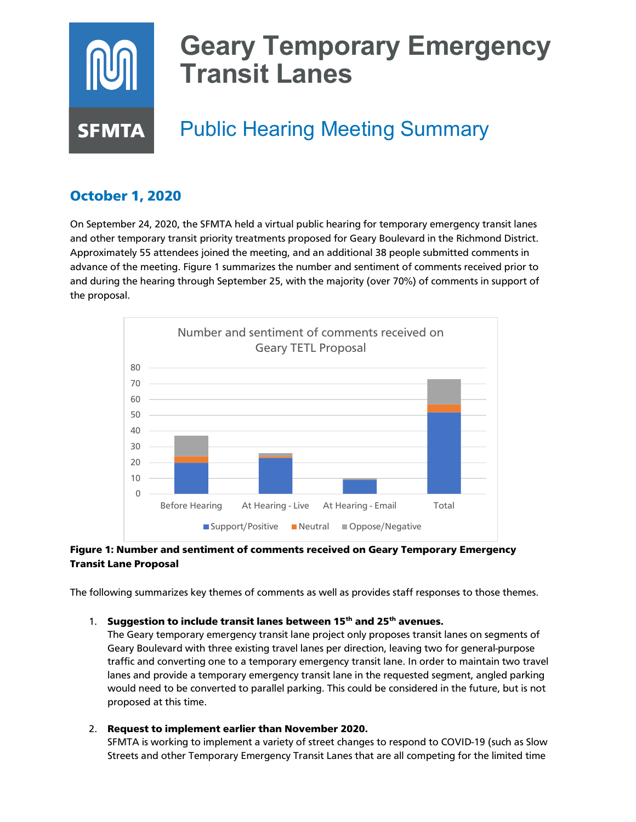# **Geary Temporary Emergency Transit Lanes** Public Hearing Meeting Summary **SFMTA**

# October 1, 2020

On September 24, 2020, the SFMTA held a virtual public hearing for temporary emergency transit lanes and other temporary transit priority treatments proposed for Geary Boulevard in the Richmond District. Approximately 55 attendees joined the meeting, and an additional 38 people submitted comments in advance of the meeting. Figure 1 summarizes the number and sentiment of comments received prior to and during the hearing through September 25, with the majority (over 70%) of comments in support of the proposal.



## Figure 1: Number and sentiment of comments received on Geary Temporary Emergency Transit Lane Proposal

The following summarizes key themes of comments as well as provides staff responses to those themes.

### 1. Suggestion to include transit lanes between  $15<sup>th</sup>$  and  $25<sup>th</sup>$  avenues.

The Geary temporary emergency transit lane project only proposes transit lanes on segments of Geary Boulevard with three existing travel lanes per direction, leaving two for general-purpose traffic and converting one to a temporary emergency transit lane. In order to maintain two travel lanes and provide a temporary emergency transit lane in the requested segment, angled parking would need to be converted to parallel parking. This could be considered in the future, but is not proposed at this time.

### 2. Request to implement earlier than November 2020.

SFMTA is working to implement a variety of street changes to respond to COVID-19 (such as Slow Streets and other Temporary Emergency Transit Lanes that are all competing for the limited time